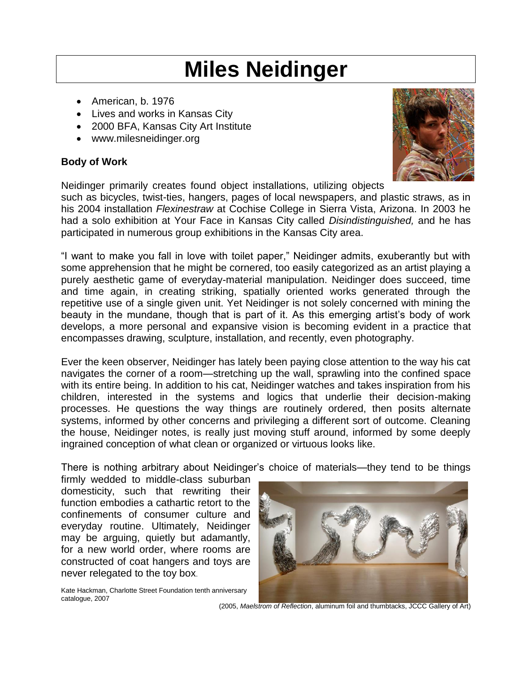## **Miles Neidinger**

- American, b. 1976
- Lives and works in Kansas City
- 2000 BFA, Kansas City Art Institute
- www.milesneidinger.org

## **Body of Work**

Neidinger primarily creates found object installations, utilizing objects

such as bicycles, twist-ties, hangers, pages of local newspapers, and plastic straws, as in his 2004 installation *Flexinestraw* at Cochise College in Sierra Vista, Arizona. In 2003 he had a solo exhibition at Your Face in Kansas City called *Disindistinguished,* and he has participated in numerous group exhibitions in the Kansas City area.

"I want to make you fall in love with toilet paper," Neidinger admits, exuberantly but with some apprehension that he might be cornered, too easily categorized as an artist playing a purely aesthetic game of everyday-material manipulation. Neidinger does succeed, time and time again, in creating striking, spatially oriented works generated through the repetitive use of a single given unit. Yet Neidinger is not solely concerned with mining the beauty in the mundane, though that is part of it. As this emerging artist's body of work develops, a more personal and expansive vision is becoming evident in a practice that encompasses drawing, sculpture, installation, and recently, even photography.

Ever the keen observer, Neidinger has lately been paying close attention to the way his cat navigates the corner of a room—stretching up the wall, sprawling into the confined space with its entire being. In addition to his cat, Neidinger watches and takes inspiration from his children, interested in the systems and logics that underlie their decision-making processes. He questions the way things are routinely ordered, then posits alternate systems, informed by other concerns and privileging a different sort of outcome. Cleaning the house, Neidinger notes, is really just moving stuff around, informed by some deeply ingrained conception of what clean or organized or virtuous looks like.

There is nothing arbitrary about Neidinger's choice of materials—they tend to be things

firmly wedded to middle-class suburban domesticity, such that rewriting their function embodies a cathartic retort to the confinements of consumer culture and everyday routine. Ultimately, Neidinger may be arguing, quietly but adamantly, for a new world order, where rooms are constructed of coat hangers and toys are never relegated to the toy box.

Kate Hackman, Charlotte Street Foundation tenth anniversary

catalogue, 2007



(2005, *Maelstrom of Reflection*, aluminum foil and thumbtacks, JCCC Gallery of Art)